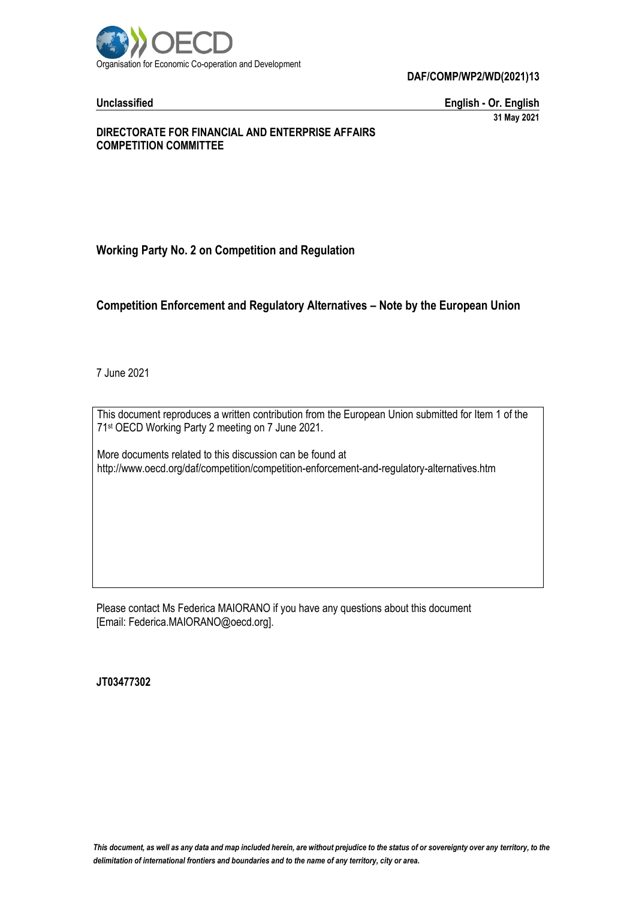

**Unclassified English - Or. English 31 May 2021**

## **DIRECTORATE FOR FINANCIAL AND ENTERPRISE AFFAIRS COMPETITION COMMITTEE**

## **Working Party No. 2 on Competition and Regulation**

## **Competition Enforcement and Regulatory Alternatives – Note by the European Union**

7 June 2021

This document reproduces a written contribution from the European Union submitted for Item 1 of the 71 st OECD Working Party 2 meeting on 7 June 2021.

More documents related to this discussion can be found at http://www.oecd.org/daf/competition/competition-enforcement-and-regulatory-alternatives.htm

Please contact Ms Federica MAIORANO if you have any questions about this document [Email: Federica.MAIORANO@oecd.org].

**JT03477302**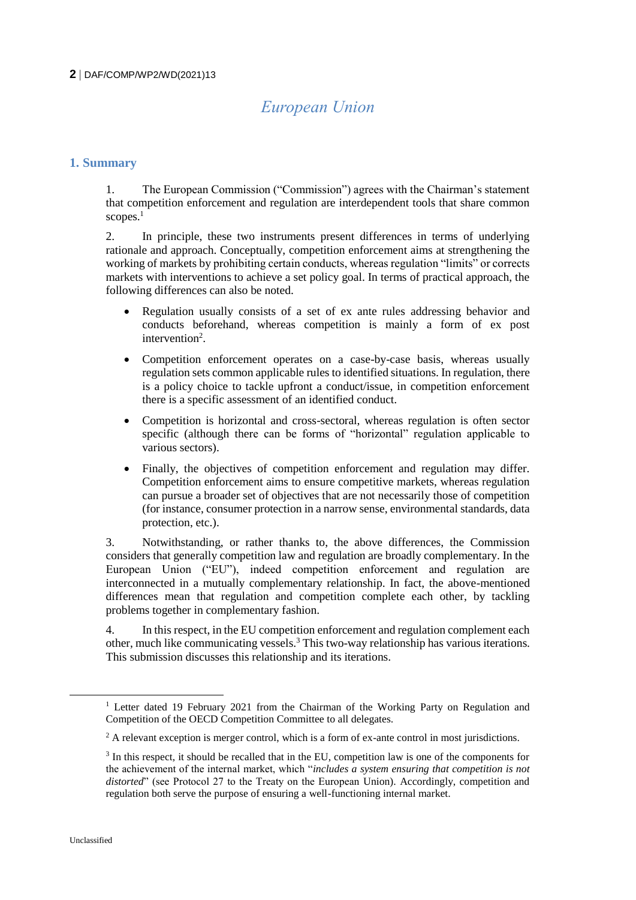# *European Union*

## **1. Summary**

1. The European Commission ("Commission") agrees with the Chairman's statement that competition enforcement and regulation are interdependent tools that share common scopes.<sup>1</sup>

2. In principle, these two instruments present differences in terms of underlying rationale and approach. Conceptually, competition enforcement aims at strengthening the working of markets by prohibiting certain conducts, whereas regulation "limits" or corrects markets with interventions to achieve a set policy goal. In terms of practical approach, the following differences can also be noted.

- Regulation usually consists of a set of ex ante rules addressing behavior and conducts beforehand, whereas competition is mainly a form of ex post intervention<sup>2</sup>.
- Competition enforcement operates on a case-by-case basis, whereas usually regulation sets common applicable rules to identified situations. In regulation, there is a policy choice to tackle upfront a conduct/issue, in competition enforcement there is a specific assessment of an identified conduct.
- Competition is horizontal and cross-sectoral, whereas regulation is often sector specific (although there can be forms of "horizontal" regulation applicable to various sectors).
- Finally, the objectives of competition enforcement and regulation may differ. Competition enforcement aims to ensure competitive markets, whereas regulation can pursue a broader set of objectives that are not necessarily those of competition (for instance, consumer protection in a narrow sense, environmental standards, data protection, etc.).

3. Notwithstanding, or rather thanks to, the above differences, the Commission considers that generally competition law and regulation are broadly complementary. In the European Union ("EU"), indeed competition enforcement and regulation are interconnected in a mutually complementary relationship. In fact, the above-mentioned differences mean that regulation and competition complete each other, by tackling problems together in complementary fashion.

4. In this respect, in the EU competition enforcement and regulation complement each other, much like communicating vessels.<sup>3</sup> This two-way relationship has various iterations. This submission discusses this relationship and its iterations.

<sup>&</sup>lt;sup>1</sup> Letter dated 19 February 2021 from the Chairman of the Working Party on Regulation and Competition of the OECD Competition Committee to all delegates.

 $2 \text{ A relevant exception is merger control, which is a form of ex-ante control in most justiations.}$ 

<sup>&</sup>lt;sup>3</sup> In this respect, it should be recalled that in the EU, competition law is one of the components for the achievement of the internal market, which "*includes a system ensuring that competition is not distorted*" (see Protocol 27 to the Treaty on the European Union). Accordingly, competition and regulation both serve the purpose of ensuring a well-functioning internal market.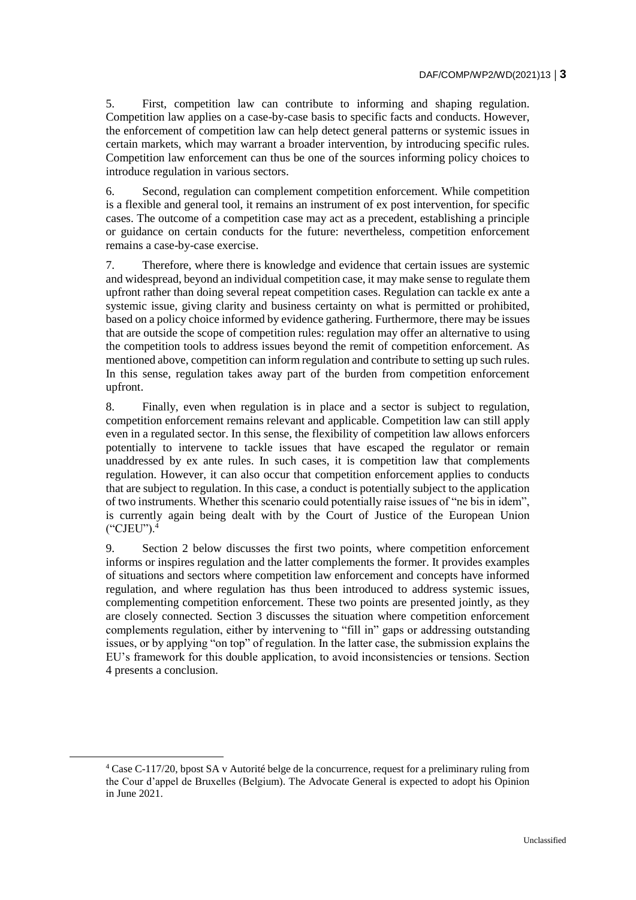5. First, competition law can contribute to informing and shaping regulation. Competition law applies on a case-by-case basis to specific facts and conducts. However, the enforcement of competition law can help detect general patterns or systemic issues in certain markets, which may warrant a broader intervention, by introducing specific rules. Competition law enforcement can thus be one of the sources informing policy choices to introduce regulation in various sectors.

6. Second, regulation can complement competition enforcement. While competition is a flexible and general tool, it remains an instrument of ex post intervention, for specific cases. The outcome of a competition case may act as a precedent, establishing a principle or guidance on certain conducts for the future: nevertheless, competition enforcement remains a case-by-case exercise.

7. Therefore, where there is knowledge and evidence that certain issues are systemic and widespread, beyond an individual competition case, it may make sense to regulate them upfront rather than doing several repeat competition cases. Regulation can tackle ex ante a systemic issue, giving clarity and business certainty on what is permitted or prohibited, based on a policy choice informed by evidence gathering. Furthermore, there may be issues that are outside the scope of competition rules: regulation may offer an alternative to using the competition tools to address issues beyond the remit of competition enforcement. As mentioned above, competition can inform regulation and contribute to setting up such rules. In this sense, regulation takes away part of the burden from competition enforcement upfront.

8. Finally, even when regulation is in place and a sector is subject to regulation, competition enforcement remains relevant and applicable. Competition law can still apply even in a regulated sector. In this sense, the flexibility of competition law allows enforcers potentially to intervene to tackle issues that have escaped the regulator or remain unaddressed by ex ante rules. In such cases, it is competition law that complements regulation. However, it can also occur that competition enforcement applies to conducts that are subject to regulation. In this case, a conduct is potentially subject to the application of two instruments. Whether this scenario could potentially raise issues of "ne bis in idem", is currently again being dealt with by the Court of Justice of the European Union ("CJEU").<sup>4</sup>

9. Section 2 below discusses the first two points, where competition enforcement informs or inspires regulation and the latter complements the former. It provides examples of situations and sectors where competition law enforcement and concepts have informed regulation, and where regulation has thus been introduced to address systemic issues, complementing competition enforcement. These two points are presented jointly, as they are closely connected. Section 3 discusses the situation where competition enforcement complements regulation, either by intervening to "fill in" gaps or addressing outstanding issues, or by applying "on top" of regulation. In the latter case, the submission explains the EU's framework for this double application, to avoid inconsistencies or tensions. Section 4 presents a conclusion.

<sup>4</sup> Case C-117/20, bpost SA v Autorité belge de la concurrence, request for a preliminary ruling from the Cour d'appel de Bruxelles (Belgium). The Advocate General is expected to adopt his Opinion in June 2021.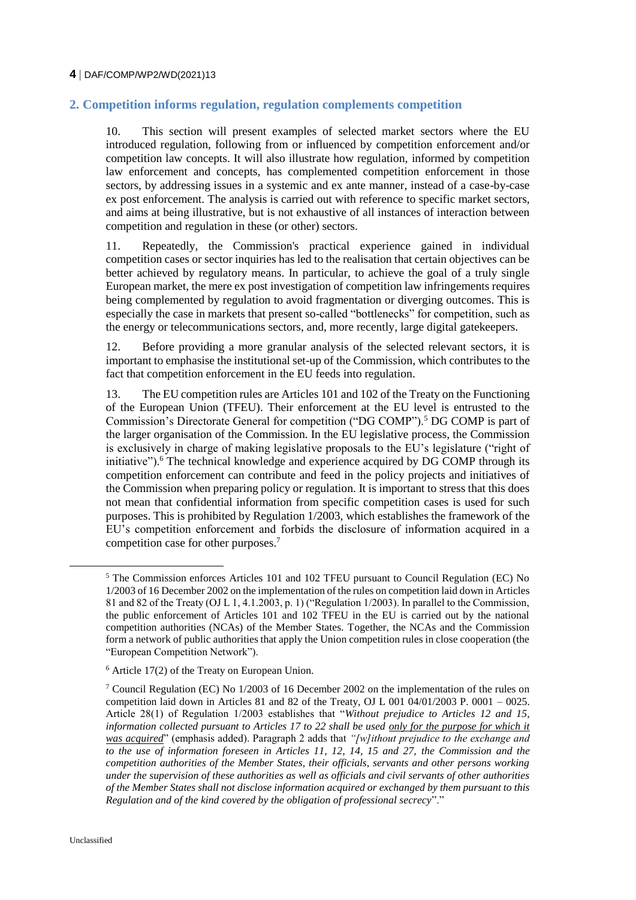## **2. Competition informs regulation, regulation complements competition**

10. This section will present examples of selected market sectors where the EU introduced regulation, following from or influenced by competition enforcement and/or competition law concepts. It will also illustrate how regulation, informed by competition law enforcement and concepts, has complemented competition enforcement in those sectors, by addressing issues in a systemic and ex ante manner, instead of a case-by-case ex post enforcement. The analysis is carried out with reference to specific market sectors, and aims at being illustrative, but is not exhaustive of all instances of interaction between competition and regulation in these (or other) sectors.

11. Repeatedly, the Commission's practical experience gained in individual competition cases or sector inquiries has led to the realisation that certain objectives can be better achieved by regulatory means. In particular, to achieve the goal of a truly single European market, the mere ex post investigation of competition law infringements requires being complemented by regulation to avoid fragmentation or diverging outcomes. This is especially the case in markets that present so-called "bottlenecks" for competition, such as the energy or telecommunications sectors, and, more recently, large digital gatekeepers.

12. Before providing a more granular analysis of the selected relevant sectors, it is important to emphasise the institutional set-up of the Commission, which contributes to the fact that competition enforcement in the EU feeds into regulation.

13. The EU competition rules are Articles 101 and 102 of the Treaty on the Functioning of the European Union (TFEU). Their enforcement at the EU level is entrusted to the Commission's Directorate General for competition ("DG COMP").<sup>5</sup> DG COMP is part of the larger organisation of the Commission. In the EU legislative process, the Commission is exclusively in charge of making legislative proposals to the EU's legislature ("right of initiative"). $6$  The technical knowledge and experience acquired by DG COMP through its competition enforcement can contribute and feed in the policy projects and initiatives of the Commission when preparing policy or regulation. It is important to stress that this does not mean that confidential information from specific competition cases is used for such purposes. This is prohibited by Regulation 1/2003, which establishes the framework of the EU's competition enforcement and forbids the disclosure of information acquired in a competition case for other purposes.<sup>7</sup>

<sup>5</sup> The Commission enforces Articles 101 and 102 TFEU pursuant to Council Regulation (EC) No 1/2003 of 16 December 2002 on the implementation of the rules on competition laid down in Articles 81 and 82 of the Treaty (OJ L 1, 4.1.2003, p. 1) ("Regulation 1/2003). In parallel to the Commission, the public enforcement of Articles 101 and 102 TFEU in the EU is carried out by the national competition authorities (NCAs) of the Member States. Together, the NCAs and the Commission form a network of public authorities that apply the Union competition rules in close cooperation (the "European Competition Network").

 $6$  Article 17(2) of the Treaty on European Union.

<sup>&</sup>lt;sup>7</sup> Council Regulation (EC) No  $1/2003$  of 16 December 2002 on the implementation of the rules on competition laid down in Articles 81 and 82 of the Treaty, OJ L 001 04/01/2003 P. 0001 – 0025. Article 28(1) of Regulation 1/2003 establishes that "*Without prejudice to Articles 12 and 15, information collected pursuant to Articles 17 to 22 shall be used only for the purpose for which it was acquired*" (emphasis added). Paragraph 2 adds that *"[w]ithout prejudice to the exchange and to the use of information foreseen in Articles 11, 12, 14, 15 and 27, the Commission and the competition authorities of the Member States, their officials, servants and other persons working under the supervision of these authorities as well as officials and civil servants of other authorities of the Member States shall not disclose information acquired or exchanged by them pursuant to this Regulation and of the kind covered by the obligation of professional secrecy*"."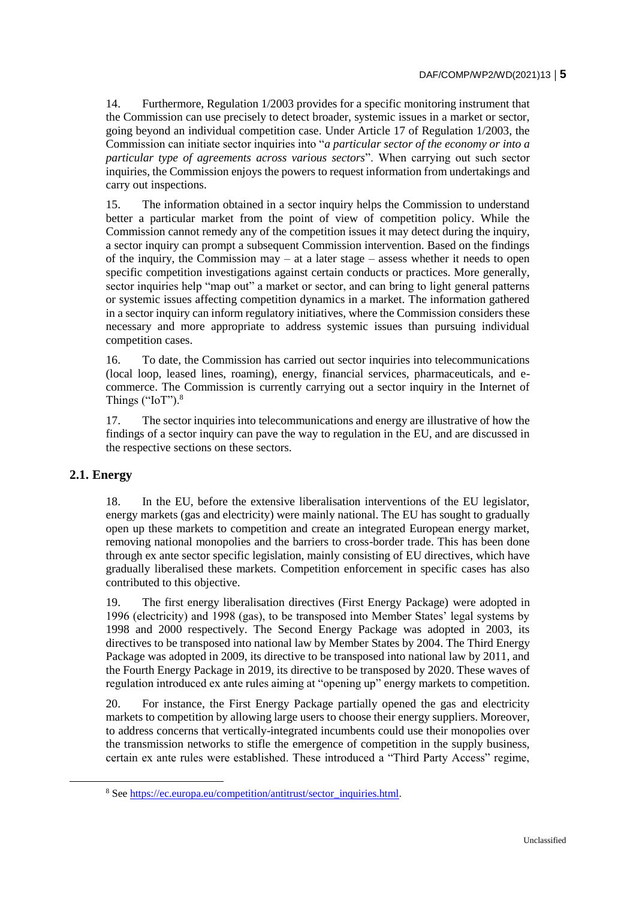14. Furthermore, Regulation 1/2003 provides for a specific monitoring instrument that the Commission can use precisely to detect broader, systemic issues in a market or sector, going beyond an individual competition case. Under Article 17 of Regulation 1/2003, the Commission can initiate sector inquiries into "*a particular sector of the economy or into a particular type of agreements across various sectors*". When carrying out such sector inquiries, the Commission enjoys the powers to request information from undertakings and carry out inspections.

15. The information obtained in a sector inquiry helps the Commission to understand better a particular market from the point of view of competition policy. While the Commission cannot remedy any of the competition issues it may detect during the inquiry, a sector inquiry can prompt a subsequent Commission intervention. Based on the findings of the inquiry, the Commission may – at a later stage – assess whether it needs to open specific competition investigations against certain conducts or practices. More generally, sector inquiries help "map out" a market or sector, and can bring to light general patterns or systemic issues affecting competition dynamics in a market. The information gathered in a sector inquiry can inform regulatory initiatives, where the Commission considers these necessary and more appropriate to address systemic issues than pursuing individual competition cases.

16. To date, the Commission has carried out sector inquiries into telecommunications (local loop, leased lines, roaming), energy, financial services, pharmaceuticals, and ecommerce. The Commission is currently carrying out a sector inquiry in the Internet of Things ("IoT").<sup>8</sup>

17. The sector inquiries into telecommunications and energy are illustrative of how the findings of a sector inquiry can pave the way to regulation in the EU, and are discussed in the respective sections on these sectors.

## **2.1. Energy**

18. In the EU, before the extensive liberalisation interventions of the EU legislator, energy markets (gas and electricity) were mainly national. The EU has sought to gradually open up these markets to competition and create an integrated European energy market, removing national monopolies and the barriers to cross-border trade. This has been done through ex ante sector specific legislation, mainly consisting of EU directives, which have gradually liberalised these markets. Competition enforcement in specific cases has also contributed to this objective.

19. The first energy liberalisation directives (First Energy Package) were adopted in 1996 (electricity) and 1998 (gas), to be transposed into Member States' legal systems by 1998 and 2000 respectively. The Second Energy Package was adopted in 2003, its directives to be transposed into national law by Member States by 2004. The Third Energy Package was adopted in 2009, its directive to be transposed into national law by 2011, and the Fourth Energy Package in 2019, its directive to be transposed by 2020. These waves of regulation introduced ex ante rules aiming at "opening up" energy markets to competition.

20. For instance, the First Energy Package partially opened the gas and electricity markets to competition by allowing large users to choose their energy suppliers. Moreover, to address concerns that vertically-integrated incumbents could use their monopolies over the transmission networks to stifle the emergence of competition in the supply business, certain ex ante rules were established. These introduced a "Third Party Access" regime,

<sup>&</sup>lt;sup>8</sup> See [https://ec.europa.eu/competition/antitrust/sector\\_inquiries.html.](https://ec.europa.eu/competition/antitrust/sector_inquiries.html)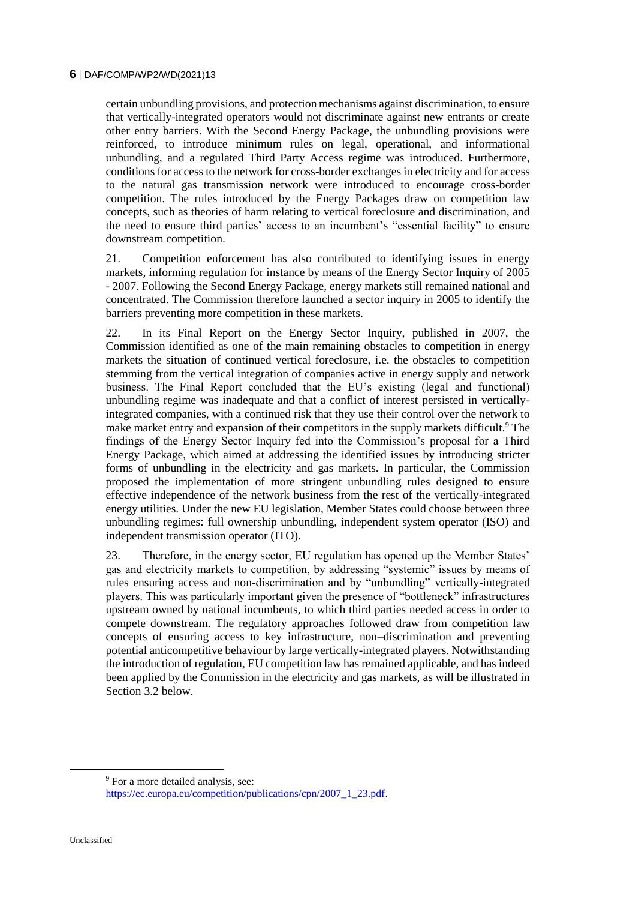certain unbundling provisions, and protection mechanisms against discrimination, to ensure that vertically-integrated operators would not discriminate against new entrants or create other entry barriers. With the Second Energy Package, the unbundling provisions were reinforced, to introduce minimum rules on legal, operational, and informational unbundling, and a regulated Third Party Access regime was introduced. Furthermore, conditions for access to the network for cross-border exchanges in electricity and for access to the natural gas transmission network were introduced to encourage cross-border competition. The rules introduced by the Energy Packages draw on competition law concepts, such as theories of harm relating to vertical foreclosure and discrimination, and the need to ensure third parties' access to an incumbent's "essential facility" to ensure downstream competition.

21. Competition enforcement has also contributed to identifying issues in energy markets, informing regulation for instance by means of the Energy Sector Inquiry of 2005 - 2007. Following the Second Energy Package, energy markets still remained national and concentrated. The Commission therefore launched a sector inquiry in 2005 to identify the barriers preventing more competition in these markets.

22. In its Final Report on the Energy Sector Inquiry, published in 2007, the Commission identified as one of the main remaining obstacles to competition in energy markets the situation of continued vertical foreclosure, i.e. the obstacles to competition stemming from the vertical integration of companies active in energy supply and network business. The Final Report concluded that the EU's existing (legal and functional) unbundling regime was inadequate and that a conflict of interest persisted in verticallyintegrated companies, with a continued risk that they use their control over the network to make market entry and expansion of their competitors in the supply markets difficult.<sup>9</sup> The findings of the Energy Sector Inquiry fed into the Commission's proposal for a Third Energy Package, which aimed at addressing the identified issues by introducing stricter forms of unbundling in the electricity and gas markets. In particular, the Commission proposed the implementation of more stringent unbundling rules designed to ensure effective independence of the network business from the rest of the vertically-integrated energy utilities. Under the new EU legislation, Member States could choose between three unbundling regimes: full ownership unbundling, independent system operator (ISO) and independent transmission operator (ITO).

23. Therefore, in the energy sector, EU regulation has opened up the Member States' gas and electricity markets to competition, by addressing "systemic" issues by means of rules ensuring access and non-discrimination and by "unbundling" vertically-integrated players. This was particularly important given the presence of "bottleneck" infrastructures upstream owned by national incumbents, to which third parties needed access in order to compete downstream. The regulatory approaches followed draw from competition law concepts of ensuring access to key infrastructure, non–discrimination and preventing potential anticompetitive behaviour by large vertically-integrated players. Notwithstanding the introduction of regulation, EU competition law has remained applicable, and has indeed been applied by the Commission in the electricity and gas markets, as will be illustrated in Section 3.2 below.

<sup>&</sup>lt;sup>9</sup> For a more detailed analysis, see: [https://ec.europa.eu/competition/publications/cpn/2007\\_1\\_23.pdf.](https://ec.europa.eu/competition/publications/cpn/2007_1_23.pdf)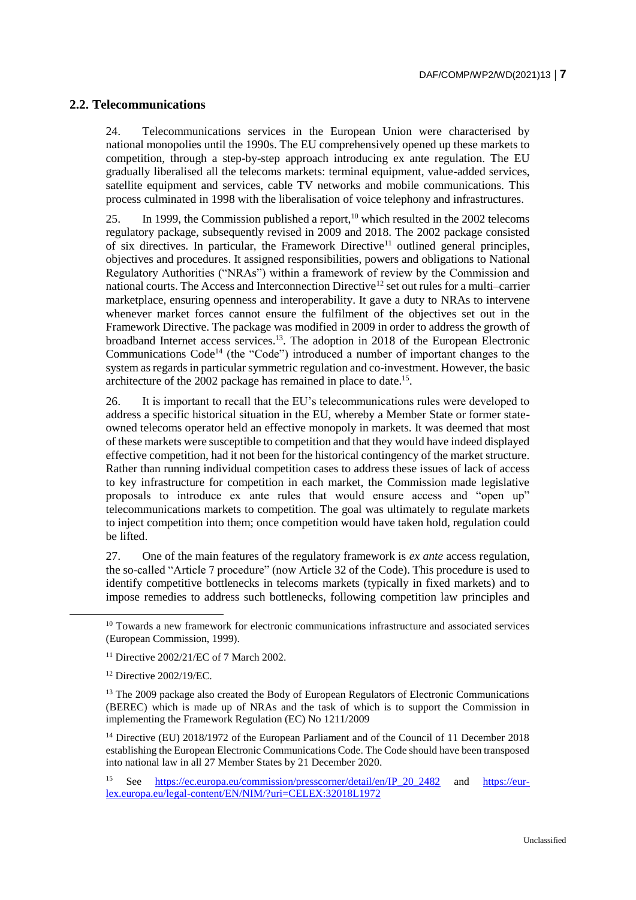## **2.2. Telecommunications**

24. Telecommunications services in the European Union were characterised by national monopolies until the 1990s. The EU comprehensively opened up these markets to competition, through a step-by-step approach introducing ex ante regulation. The EU gradually liberalised all the telecoms markets: terminal equipment, value-added services, satellite equipment and services, cable TV networks and mobile communications. This process culminated in 1998 with the liberalisation of voice telephony and infrastructures.

25. In 1999, the Commission published a report,  $10$  which resulted in the 2002 telecoms regulatory package, subsequently revised in 2009 and 2018. The 2002 package consisted of six directives. In particular, the Framework Directive<sup>11</sup> outlined general principles, objectives and procedures. It assigned responsibilities, powers and obligations to National Regulatory Authorities ("NRAs") within a framework of review by the Commission and national courts. The Access and Interconnection Directive<sup>12</sup> set out rules for a multi–carrier marketplace, ensuring openness and interoperability. It gave a duty to NRAs to intervene whenever market forces cannot ensure the fulfilment of the objectives set out in the Framework Directive. The package was modified in 2009 in order to address the growth of broadband Internet access services.<sup>13</sup>. The adoption in 2018 of the European Electronic Communications Code<sup>14</sup> (the "Code") introduced a number of important changes to the system as regards in particular symmetric regulation and co-investment. However, the basic architecture of the 2002 package has remained in place to date.<sup>15</sup>.

26. It is important to recall that the EU's telecommunications rules were developed to address a specific historical situation in the EU, whereby a Member State or former stateowned telecoms operator held an effective monopoly in markets. It was deemed that most of these markets were susceptible to competition and that they would have indeed displayed effective competition, had it not been for the historical contingency of the market structure. Rather than running individual competition cases to address these issues of lack of access to key infrastructure for competition in each market, the Commission made legislative proposals to introduce ex ante rules that would ensure access and "open up" telecommunications markets to competition. The goal was ultimately to regulate markets to inject competition into them; once competition would have taken hold, regulation could be lifted.

27. One of the main features of the regulatory framework is *ex ante* access regulation, the so-called "Article 7 procedure" (now Article 32 of the Code). This procedure is used to identify competitive bottlenecks in telecoms markets (typically in fixed markets) and to impose remedies to address such bottlenecks, following competition law principles and

 $\overline{a}$ 

<sup>14</sup> Directive (EU) 2018/1972 of the European Parliament and of the Council of 11 December 2018 establishing the European Electronic Communications Code. The Code should have been transposed into national law in all 27 Member States by 21 December 2020.

 $10$  Towards a new framework for electronic communications infrastructure and associated services (European Commission, 1999).

<sup>11</sup> Directive 2002/21/EC of 7 March 2002.

<sup>12</sup> Directive 2002/19/EC.

<sup>&</sup>lt;sup>13</sup> The 2009 package also created the Body of European Regulators of Electronic Communications (BEREC) which is made up of NRAs and the task of which is to support the Commission in implementing the Framework Regulation (EC) No 1211/2009

<sup>15</sup> See [https://ec.europa.eu/commission/presscorner/detail/en/IP\\_20\\_2482](https://ec.europa.eu/commission/presscorner/detail/en/IP_20_2482) and [https://eur](https://eur-lex.europa.eu/legal-content/EN/NIM/?uri=CELEX:32018L1972)[lex.europa.eu/legal-content/EN/NIM/?uri=CELEX:32018L1972](https://eur-lex.europa.eu/legal-content/EN/NIM/?uri=CELEX:32018L1972)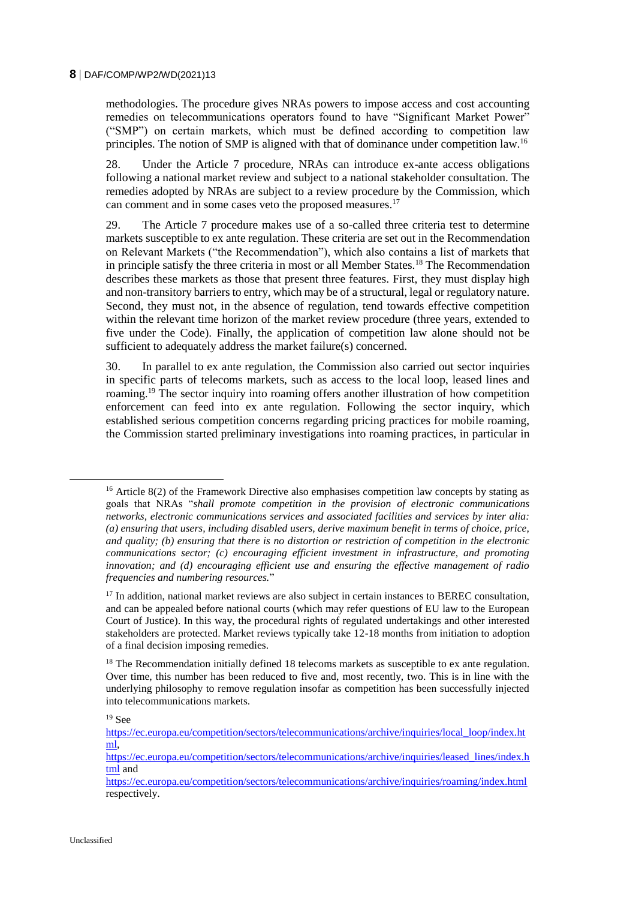methodologies. The procedure gives NRAs powers to impose access and cost accounting remedies on telecommunications operators found to have "Significant Market Power" ("SMP") on certain markets, which must be defined according to competition law principles. The notion of SMP is aligned with that of dominance under competition law.<sup>16</sup>

28. Under the Article 7 procedure, NRAs can introduce ex-ante access obligations following a national market review and subject to a national stakeholder consultation. The remedies adopted by NRAs are subject to a review procedure by the Commission, which can comment and in some cases veto the proposed measures.<sup>17</sup>

29. The Article 7 procedure makes use of a so-called three criteria test to determine markets susceptible to ex ante regulation. These criteria are set out in the Recommendation on Relevant Markets ("the Recommendation"), which also contains a list of markets that in principle satisfy the three criteria in most or all Member States.<sup>18</sup> The Recommendation describes these markets as those that present three features. First, they must display high and non-transitory barriers to entry, which may be of a structural, legal or regulatory nature. Second, they must not, in the absence of regulation, tend towards effective competition within the relevant time horizon of the market review procedure (three years, extended to five under the Code). Finally, the application of competition law alone should not be sufficient to adequately address the market failure(s) concerned.

30. In parallel to ex ante regulation, the Commission also carried out sector inquiries in specific parts of telecoms markets, such as access to the local loop, leased lines and roaming.<sup>19</sup> The sector inquiry into roaming offers another illustration of how competition enforcement can feed into ex ante regulation. Following the sector inquiry, which established serious competition concerns regarding pricing practices for mobile roaming, the Commission started preliminary investigations into roaming practices, in particular in

<sup>&</sup>lt;sup>16</sup> Article 8(2) of the Framework Directive also emphasises competition law concepts by stating as goals that NRAs "*shall promote competition in the provision of electronic communications networks, electronic communications services and associated facilities and services by inter alia: (a) ensuring that users, including disabled users, derive maximum benefit in terms of choice, price, and quality; (b) ensuring that there is no distortion or restriction of competition in the electronic communications sector; (c) encouraging efficient investment in infrastructure, and promoting innovation; and (d) encouraging efficient use and ensuring the effective management of radio frequencies and numbering resources.*"

<sup>&</sup>lt;sup>17</sup> In addition, national market reviews are also subject in certain instances to BEREC consultation, and can be appealed before national courts (which may refer questions of EU law to the European Court of Justice). In this way, the procedural rights of regulated undertakings and other interested stakeholders are protected. Market reviews typically take 12-18 months from initiation to adoption of a final decision imposing remedies.

<sup>&</sup>lt;sup>18</sup> The Recommendation initially defined 18 telecoms markets as susceptible to ex ante regulation. Over time, this number has been reduced to five and, most recently, two. This is in line with the underlying philosophy to remove regulation insofar as competition has been successfully injected into telecommunications markets.

<sup>19</sup> See

[https://ec.europa.eu/competition/sectors/telecommunications/archive/inquiries/local\\_loop/index.ht](https://ec.europa.eu/competition/sectors/telecommunications/archive/inquiries/local_loop/index.html) [ml,](https://ec.europa.eu/competition/sectors/telecommunications/archive/inquiries/local_loop/index.html)

[https://ec.europa.eu/competition/sectors/telecommunications/archive/inquiries/leased\\_lines/index.h](https://ec.europa.eu/competition/sectors/telecommunications/archive/inquiries/leased_lines/index.html) [tml](https://ec.europa.eu/competition/sectors/telecommunications/archive/inquiries/leased_lines/index.html) and

<https://ec.europa.eu/competition/sectors/telecommunications/archive/inquiries/roaming/index.html> respectively.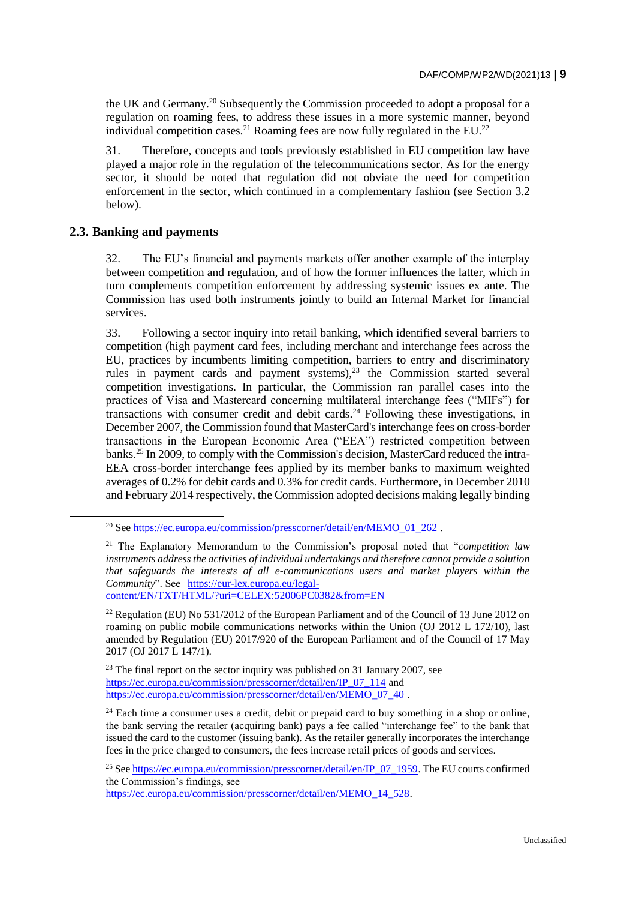the UK and Germany.<sup>20</sup> Subsequently the Commission proceeded to adopt a proposal for a regulation on roaming fees, to address these issues in a more systemic manner, beyond individual competition cases.<sup>21</sup> Roaming fees are now fully regulated in the EU.<sup>22</sup>

31. Therefore, concepts and tools previously established in EU competition law have played a major role in the regulation of the telecommunications sector. As for the energy sector, it should be noted that regulation did not obviate the need for competition enforcement in the sector, which continued in a complementary fashion (see Section 3.2 below).

## **2.3. Banking and payments**

32. The EU's financial and payments markets offer another example of the interplay between competition and regulation, and of how the former influences the latter, which in turn complements competition enforcement by addressing systemic issues ex ante. The Commission has used both instruments jointly to build an Internal Market for financial services.

33. Following a sector inquiry into retail banking, which identified several barriers to competition (high payment card fees, including merchant and interchange fees across the EU, practices by incumbents limiting competition, barriers to entry and discriminatory rules in payment cards and payment systems), $2^3$  the Commission started several competition investigations. In particular, the Commission ran parallel cases into the practices of Visa and Mastercard concerning multilateral interchange fees ("MIFs") for transactions with consumer credit and debit cards.<sup>24</sup> Following these investigations, in December 2007, the Commission found that MasterCard's interchange fees on cross-border transactions in the European Economic Area ("EEA") restricted competition between banks.<sup>25</sup> In 2009, to comply with the Commission's decision, MasterCard reduced the intra-EEA cross-border interchange fees applied by its member banks to maximum weighted averages of 0.2% for debit cards and 0.3% for credit cards. Furthermore, in December 2010 and February 2014 respectively, the Commission adopted decisions making legally binding

[https://ec.europa.eu/commission/presscorner/detail/en/MEMO\\_14\\_528.](https://ec.europa.eu/commission/presscorner/detail/en/MEMO_14_528)

<sup>&</sup>lt;sup>20</sup> See [https://ec.europa.eu/commission/presscorner/detail/en/MEMO\\_01\\_262](https://ec.europa.eu/commission/presscorner/detail/en/MEMO_01_262).

<sup>21</sup> The Explanatory Memorandum to the Commission's proposal noted that "*competition law instruments address the activities of individual undertakings and therefore cannot provide a solution*  that safeguards the interests of all e-communications users and market players within the *Community*". See [https://eur-lex.europa.eu/legal](https://eur-lex.europa.eu/legal-content/EN/TXT/HTML/?uri=CELEX:52006PC0382&from=EN)[content/EN/TXT/HTML/?uri=CELEX:52006PC0382&from=EN](https://eur-lex.europa.eu/legal-content/EN/TXT/HTML/?uri=CELEX:52006PC0382&from=EN)

<sup>&</sup>lt;sup>22</sup> Regulation (EU) No 531/2012 of the European Parliament and of the Council of 13 June 2012 on roaming on public mobile communications networks within the Union (OJ 2012 L 172/10), last amended by Regulation (EU) 2017/920 of the European Parliament and of the Council of 17 May 2017 (OJ 2017 L 147/1).

<sup>&</sup>lt;sup>23</sup> The final report on the sector inquiry was published on 31 January 2007, see [https://ec.europa.eu/commission/presscorner/detail/en/IP\\_07\\_114](https://ec.europa.eu/commission/presscorner/detail/en/IP_07_114) and [https://ec.europa.eu/commission/presscorner/detail/en/MEMO\\_07\\_40](https://ec.europa.eu/commission/presscorner/detail/en/MEMO_07_40) .

 $24$  Each time a consumer uses a credit, debit or prepaid card to buy something in a shop or online, the bank serving the retailer (acquiring bank) pays a fee called "interchange fee" to the bank that issued the card to the customer (issuing bank). As the retailer generally incorporates the interchange fees in the price charged to consumers, the fees increase retail prices of goods and services.

<sup>&</sup>lt;sup>25</sup> Se[e https://ec.europa.eu/commission/presscorner/detail/en/IP\\_07\\_1959.](https://ec.europa.eu/commission/presscorner/detail/en/IP_07_1959) The EU courts confirmed the Commission's findings, see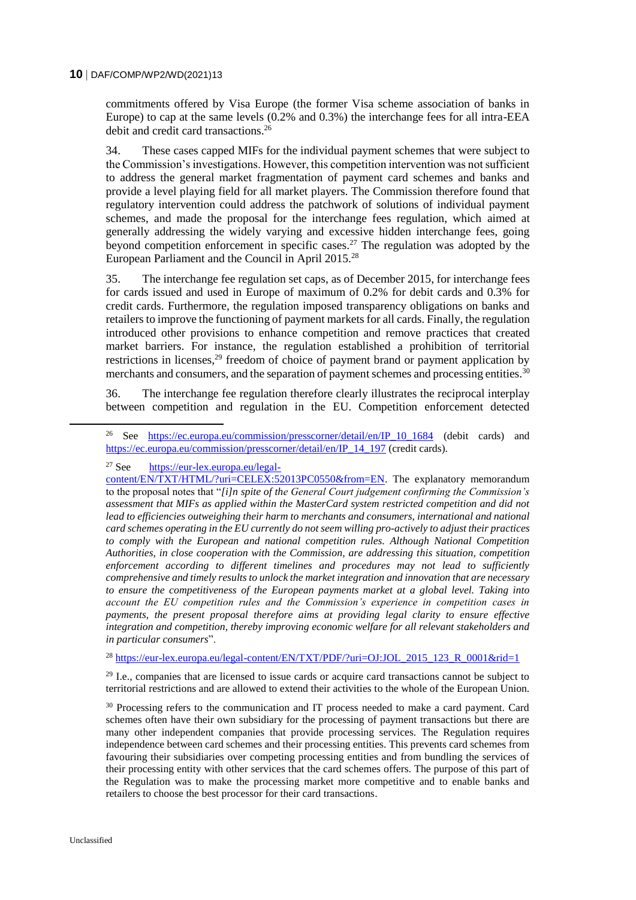commitments offered by Visa Europe (the former Visa scheme association of banks in Europe) to cap at the same levels (0.2% and 0.3%) the interchange fees for all intra-EEA debit and credit card transactions.<sup>26</sup>

34. These cases capped MIFs for the individual payment schemes that were subject to the Commission's investigations. However, this competition intervention was not sufficient to address the general market fragmentation of payment card schemes and banks and provide a level playing field for all market players. The Commission therefore found that regulatory intervention could address the patchwork of solutions of individual payment schemes, and made the proposal for the interchange fees regulation, which aimed at generally addressing the widely varying and excessive hidden interchange fees, going beyond competition enforcement in specific cases.<sup>27</sup> The regulation was adopted by the European Parliament and the Council in April 2015.<sup>28</sup>

35. The interchange fee regulation set caps, as of December 2015, for interchange fees for cards issued and used in Europe of maximum of 0.2% for debit cards and 0.3% for credit cards. Furthermore, the regulation imposed transparency obligations on banks and retailers to improve the functioning of payment markets for all cards. Finally, the regulation introduced other provisions to enhance competition and remove practices that created market barriers. For instance, the regulation established a prohibition of territorial restrictions in licenses, $29$  freedom of choice of payment brand or payment application by merchants and consumers, and the separation of payment schemes and processing entities.<sup>30</sup>

36. The interchange fee regulation therefore clearly illustrates the reciprocal interplay between competition and regulation in the EU. Competition enforcement detected

<sup>27</sup> See [https://eur-lex.europa.eu/legal-](https://eur-lex.europa.eu/legal-content/EN/TXT/HTML/?uri=CELEX:52013PC0550&from=EN)

<sup>28</sup> https://eur-lex.europa.eu/legal-content/EN/TXT/PDF/?uri=OJ:JOL 2015 123 R 0001&rid=1

<sup>29</sup> I.e., companies that are licensed to issue cards or acquire card transactions cannot be subject to territorial restrictions and are allowed to extend their activities to the whole of the European Union.

<sup>30</sup> Processing refers to the communication and IT process needed to make a card payment. Card schemes often have their own subsidiary for the processing of payment transactions but there are many other independent companies that provide processing services. The Regulation requires independence between card schemes and their processing entities. This prevents card schemes from favouring their subsidiaries over competing processing entities and from bundling the services of their processing entity with other services that the card schemes offers. The purpose of this part of the Regulation was to make the processing market more competitive and to enable banks and retailers to choose the best processor for their card transactions.

<sup>&</sup>lt;sup>26</sup> See [https://ec.europa.eu/commission/presscorner/detail/en/IP\\_10\\_1684](https://ec.europa.eu/commission/presscorner/detail/en/IP_10_1684) (debit cards) and [https://ec.europa.eu/commission/presscorner/detail/en/IP\\_14\\_197](https://ec.europa.eu/commission/presscorner/detail/en/IP_14_197) (credit cards).

[content/EN/TXT/HTML/?uri=CELEX:52013PC0550&from=EN.](https://eur-lex.europa.eu/legal-content/EN/TXT/HTML/?uri=CELEX:52013PC0550&from=EN) The explanatory memorandum to the proposal notes that "*[i]n spite of the General Court judgement confirming the Commission's assessment that MIFs as applied within the MasterCard system restricted competition and did not*  lead to efficiencies outweighing their harm to merchants and consumers, international and national *card schemes operating in the EU currently do not seem willing pro-actively to adjust their practices to comply with the European and national competition rules. Although National Competition Authorities, in close cooperation with the Commission, are addressing this situation, competition enforcement according to different timelines and procedures may not lead to sufficiently comprehensive and timely results to unlock the market integration and innovation that are necessary to ensure the competitiveness of the European payments market at a global level. Taking into account the EU competition rules and the Commission's experience in competition cases in payments, the present proposal therefore aims at providing legal clarity to ensure effective integration and competition, thereby improving economic welfare for all relevant stakeholders and in particular consumers*".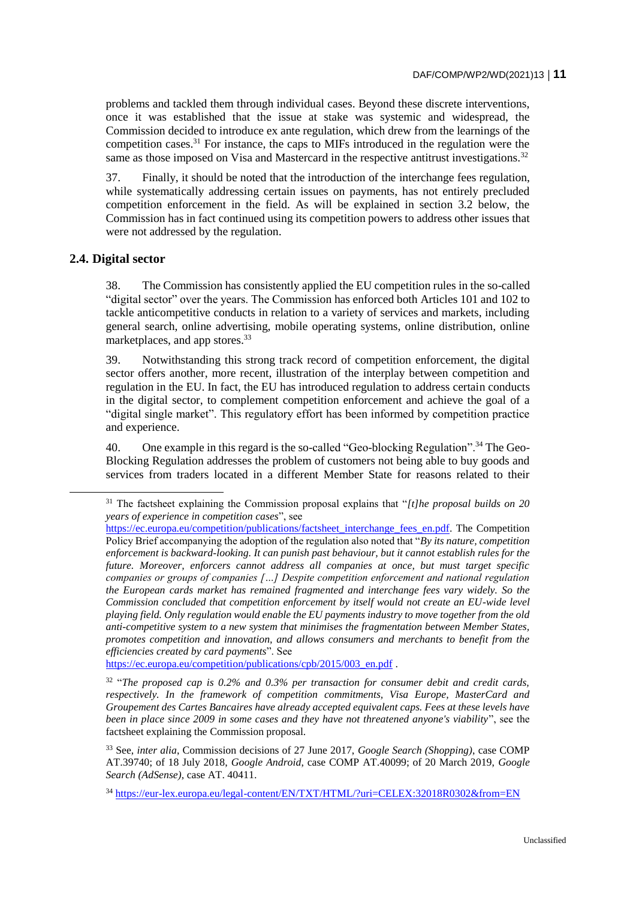problems and tackled them through individual cases. Beyond these discrete interventions, once it was established that the issue at stake was systemic and widespread, the Commission decided to introduce ex ante regulation, which drew from the learnings of the competition cases.<sup>31</sup> For instance, the caps to MIFs introduced in the regulation were the same as those imposed on Visa and Mastercard in the respective antitrust investigations.<sup>32</sup>

37. Finally, it should be noted that the introduction of the interchange fees regulation, while systematically addressing certain issues on payments, has not entirely precluded competition enforcement in the field. As will be explained in section 3.2 below, the Commission has in fact continued using its competition powers to address other issues that were not addressed by the regulation.

## **2.4. Digital sector**

38. The Commission has consistently applied the EU competition rules in the so-called "digital sector" over the years. The Commission has enforced both Articles 101 and 102 to tackle anticompetitive conducts in relation to a variety of services and markets, including general search, online advertising, mobile operating systems, online distribution, online marketplaces, and app stores.<sup>33</sup>

39. Notwithstanding this strong track record of competition enforcement, the digital sector offers another, more recent, illustration of the interplay between competition and regulation in the EU. In fact, the EU has introduced regulation to address certain conducts in the digital sector, to complement competition enforcement and achieve the goal of a "digital single market". This regulatory effort has been informed by competition practice and experience.

40. One example in this regard is the so-called "Geo-blocking Regulation".<sup>34</sup> The Geo-Blocking Regulation addresses the problem of customers not being able to buy goods and services from traders located in a different Member State for reasons related to their

[https://ec.europa.eu/competition/publications/cpb/2015/003\\_en.pdf](https://ec.europa.eu/competition/publications/cpb/2015/003_en.pdf) .

32 "*The proposed cap is 0.2% and 0.3% per transaction for consumer debit and credit cards, respectively. In the framework of competition commitments, Visa Europe, MasterCard and Groupement des Cartes Bancaires have already accepted equivalent caps. Fees at these levels have been in place since 2009 in some cases and they have not threatened anyone's viability*", see the factsheet explaining the Commission proposal.

<sup>31</sup> The factsheet explaining the Commission proposal explains that "*[t]he proposal builds on 20 years of experience in competition cases*", see

[https://ec.europa.eu/competition/publications/factsheet\\_interchange\\_fees\\_en.pdf.](https://ec.europa.eu/competition/publications/factsheet_interchange_fees_en.pdf) The Competition Policy Brief accompanying the adoption of the regulation also noted that "*By its nature, competition enforcement is backward-looking. It can punish past behaviour, but it cannot establish rules for the future. Moreover, enforcers cannot address all companies at once, but must target specific companies or groups of companies […] Despite competition enforcement and national regulation the European cards market has remained fragmented and interchange fees vary widely. So the Commission concluded that competition enforcement by itself would not create an EU-wide level playing field. Only regulation would enable the EU payments industry to move together from the old anti-competitive system to a new system that minimises the fragmentation between Member States, promotes competition and innovation, and allows consumers and merchants to benefit from the efficiencies created by card payments*". See

<sup>33</sup> See, *inter alia*, Commission decisions of 27 June 2017, *Google Search (Shopping)*, case COMP AT.39740; of 18 July 2018, *Google Android*, case COMP AT.40099; of 20 March 2019, *Google Search (AdSense)*, case AT. 40411.

<sup>&</sup>lt;sup>34</sup> https://eur<u>-lex.europa.eu/legal-content/EN/TXT/HTML/?uri=CELEX:32018R0302&from=EN</u>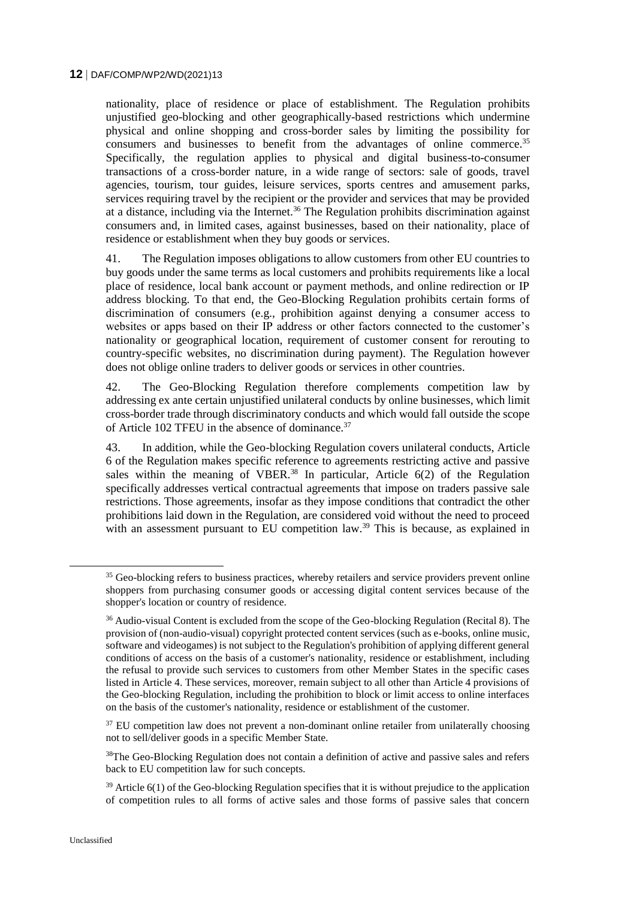nationality, place of residence or place of establishment. The Regulation prohibits unjustified geo-blocking and other geographically-based restrictions which undermine physical and online shopping and cross-border sales by limiting the possibility for consumers and businesses to benefit from the advantages of online commerce.<sup>35</sup> Specifically, the regulation applies to physical and digital business-to-consumer transactions of a cross-border nature, in a wide range of sectors: sale of goods, travel agencies, tourism, tour guides, leisure services, sports centres and amusement parks, services requiring travel by the recipient or the provider and services that may be provided at a distance, including via the Internet.<sup>36</sup> The Regulation prohibits discrimination against consumers and, in limited cases, against businesses, based on their nationality, place of residence or establishment when they buy goods or services.

41. The Regulation imposes obligations to allow customers from other EU countries to buy goods under the same terms as local customers and prohibits requirements like a local place of residence, local bank account or payment methods, and online redirection or IP address blocking. To that end, the Geo-Blocking Regulation prohibits certain forms of discrimination of consumers (e.g., prohibition against denying a consumer access to websites or apps based on their IP address or other factors connected to the customer's nationality or geographical location, requirement of customer consent for rerouting to country-specific websites, no discrimination during payment). The Regulation however does not oblige online traders to deliver goods or services in other countries.

42. The Geo-Blocking Regulation therefore complements competition law by addressing ex ante certain unjustified unilateral conducts by online businesses, which limit cross-border trade through discriminatory conducts and which would fall outside the scope of Article 102 TFEU in the absence of dominance.<sup>37</sup>

43. In addition, while the Geo-blocking Regulation covers unilateral conducts, Article 6 of the Regulation makes specific reference to agreements restricting active and passive sales within the meaning of VBER.<sup>38</sup> In particular, Article  $6(2)$  of the Regulation specifically addresses vertical contractual agreements that impose on traders passive sale restrictions. Those agreements, insofar as they impose conditions that contradict the other prohibitions laid down in the Regulation, are considered void without the need to proceed with an assessment pursuant to EU competition law.<sup>39</sup> This is because, as explained in

<sup>37</sup> EU competition law does not prevent a non-dominant online retailer from unilaterally choosing not to sell/deliver goods in a specific Member State.

<sup>38</sup>The Geo-Blocking Regulation does not contain a definition of active and passive sales and refers back to EU competition law for such concepts.

<sup>&</sup>lt;sup>35</sup> Geo-blocking refers to business practices, whereby retailers and service providers prevent online shoppers from purchasing consumer goods or accessing digital content services because of the shopper's location or country of residence.

<sup>&</sup>lt;sup>36</sup> Audio-visual Content is excluded from the scope of the Geo-blocking Regulation (Recital 8). The provision of (non-audio-visual) copyright protected content services (such as e-books, online music, software and videogames) is not subject to the Regulation's prohibition of applying different general conditions of access on the basis of a customer's nationality, residence or establishment, including the refusal to provide such services to customers from other Member States in the specific cases listed in Article 4. These services, moreover, remain subject to all other than Article 4 provisions of the Geo-blocking Regulation, including the prohibition to block or limit access to online interfaces on the basis of the customer's nationality, residence or establishment of the customer.

 $39$  Article 6(1) of the Geo-blocking Regulation specifies that it is without prejudice to the application of competition rules to all forms of active sales and those forms of passive sales that concern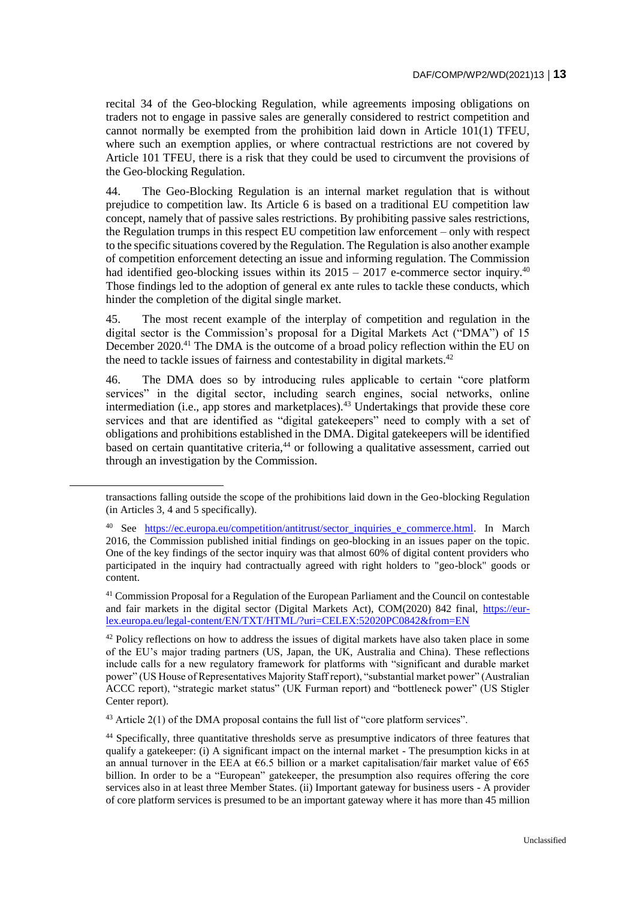recital 34 of the Geo-blocking Regulation, while agreements imposing obligations on traders not to engage in passive sales are generally considered to restrict competition and cannot normally be exempted from the prohibition laid down in Article 101(1) TFEU, where such an exemption applies, or where contractual restrictions are not covered by Article 101 TFEU, there is a risk that they could be used to circumvent the provisions of the Geo-blocking Regulation.

44. The Geo-Blocking Regulation is an internal market regulation that is without prejudice to competition law. Its Article 6 is based on a traditional EU competition law concept, namely that of passive sales restrictions. By prohibiting passive sales restrictions, the Regulation trumps in this respect EU competition law enforcement – only with respect to the specific situations covered by the Regulation. The Regulation is also another example of competition enforcement detecting an issue and informing regulation. The Commission had identified geo-blocking issues within its  $2015 - 2017$  e-commerce sector inquiry.<sup>40</sup> Those findings led to the adoption of general ex ante rules to tackle these conducts, which hinder the completion of the digital single market.

45. The most recent example of the interplay of competition and regulation in the digital sector is the Commission's proposal for a Digital Markets Act ("DMA") of 15 December 2020.<sup>41</sup> The DMA is the outcome of a broad policy reflection within the EU on the need to tackle issues of fairness and contestability in digital markets.<sup>42</sup>

46. The DMA does so by introducing rules applicable to certain "core platform services" in the digital sector, including search engines, social networks, online intermediation (i.e., app stores and marketplaces).<sup>43</sup> Undertakings that provide these core services and that are identified as "digital gatekeepers" need to comply with a set of obligations and prohibitions established in the DMA. Digital gatekeepers will be identified based on certain quantitative criteria,<sup>44</sup> or following a qualitative assessment, carried out through an investigation by the Commission.

 $43$  Article 2(1) of the DMA proposal contains the full list of "core platform services".

transactions falling outside the scope of the prohibitions laid down in the Geo-blocking Regulation (in Articles 3, 4 and 5 specifically).

See [https://ec.europa.eu/competition/antitrust/sector\\_inquiries\\_e\\_commerce.html.](https://ec.europa.eu/competition/antitrust/sector_inquiries_e_commerce.html) In March 2016, the Commission published initial findings on geo-blocking in an issues paper on the topic. One of the key findings of the sector inquiry was that almost 60% of digital content providers who participated in the inquiry had contractually agreed with right holders to "geo-block" goods or content.

<sup>41</sup> Commission Proposal for a Regulation of the European Parliament and the Council on contestable and fair markets in the digital sector (Digital Markets Act), COM(2020) 842 final, [https://eur](https://eur-lex.europa.eu/legal-content/EN/TXT/HTML/?uri=CELEX:52020PC0842&from=EN)[lex.europa.eu/legal-content/EN/TXT/HTML/?uri=CELEX:52020PC0842&from=EN](https://eur-lex.europa.eu/legal-content/EN/TXT/HTML/?uri=CELEX:52020PC0842&from=EN)

 $42$  Policy reflections on how to address the issues of digital markets have also taken place in some of the EU's major trading partners (US, Japan, the UK, Australia and China). These reflections include calls for a new regulatory framework for platforms with "significant and durable market power" (US House of Representatives Majority Staff report), "substantial market power" (Australian ACCC report), "strategic market status" (UK Furman report) and "bottleneck power" (US Stigler Center report).

<sup>44</sup> Specifically, three quantitative thresholds serve as presumptive indicators of three features that qualify a gatekeeper: (i) A significant impact on the internal market - The presumption kicks in at an annual turnover in the EEA at  $66.5$  billion or a market capitalisation/fair market value of  $665$ billion. In order to be a "European" gatekeeper, the presumption also requires offering the core services also in at least three Member States. (ii) Important gateway for business users - A provider of core platform services is presumed to be an important gateway where it has more than 45 million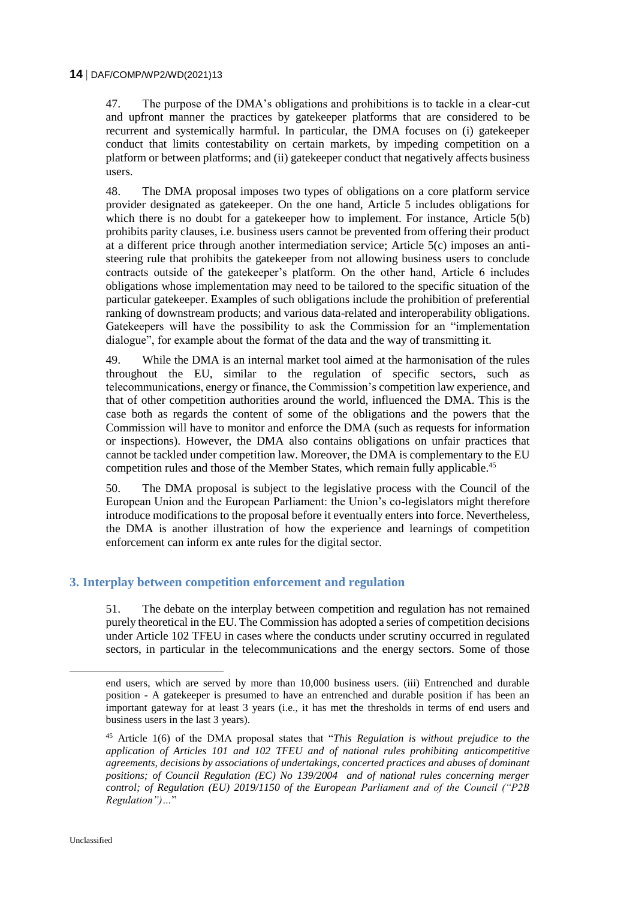47. The purpose of the DMA's obligations and prohibitions is to tackle in a clear-cut and upfront manner the practices by gatekeeper platforms that are considered to be recurrent and systemically harmful. In particular, the DMA focuses on (i) gatekeeper conduct that limits contestability on certain markets, by impeding competition on a platform or between platforms; and (ii) gatekeeper conduct that negatively affects business users.

48. The DMA proposal imposes two types of obligations on a core platform service provider designated as gatekeeper. On the one hand, Article 5 includes obligations for which there is no doubt for a gatekeeper how to implement. For instance, Article 5(b) prohibits parity clauses, i.e. business users cannot be prevented from offering their product at a different price through another intermediation service; Article 5(c) imposes an antisteering rule that prohibits the gatekeeper from not allowing business users to conclude contracts outside of the gatekeeper's platform. On the other hand, Article 6 includes obligations whose implementation may need to be tailored to the specific situation of the particular gatekeeper. Examples of such obligations include the prohibition of preferential ranking of downstream products; and various data-related and interoperability obligations. Gatekeepers will have the possibility to ask the Commission for an "implementation dialogue", for example about the format of the data and the way of transmitting it.

49. While the DMA is an internal market tool aimed at the harmonisation of the rules throughout the EU, similar to the regulation of specific sectors, such as telecommunications, energy or finance, the Commission's competition law experience, and that of other competition authorities around the world, influenced the DMA. This is the case both as regards the content of some of the obligations and the powers that the Commission will have to monitor and enforce the DMA (such as requests for information or inspections). However, the DMA also contains obligations on unfair practices that cannot be tackled under competition law. Moreover, the DMA is complementary to the EU competition rules and those of the Member States, which remain fully applicable.<sup>45</sup>

50. The DMA proposal is subject to the legislative process with the Council of the European Union and the European Parliament: the Union's co-legislators might therefore introduce modifications to the proposal before it eventually enters into force. Nevertheless, the DMA is another illustration of how the experience and learnings of competition enforcement can inform ex ante rules for the digital sector.

## **3. Interplay between competition enforcement and regulation**

51. The debate on the interplay between competition and regulation has not remained purely theoretical in the EU. The Commission has adopted a series of competition decisions under Article 102 TFEU in cases where the conducts under scrutiny occurred in regulated sectors, in particular in the telecommunications and the energy sectors. Some of those

end users, which are served by more than 10,000 business users. (iii) Entrenched and durable position - A gatekeeper is presumed to have an entrenched and durable position if has been an important gateway for at least 3 years (i.e., it has met the thresholds in terms of end users and business users in the last 3 years).

<sup>45</sup> Article 1(6) of the DMA proposal states that "*This Regulation is without prejudice to the application of Articles 101 and 102 TFEU and of national rules prohibiting anticompetitive agreements, decisions by associations of undertakings, concerted practices and abuses of dominant positions; of Council Regulation (EC) No 139/2004 and of national rules concerning merger control; of Regulation (EU) 2019/1150 of the European Parliament and of the Council ("P2B Regulation")…*"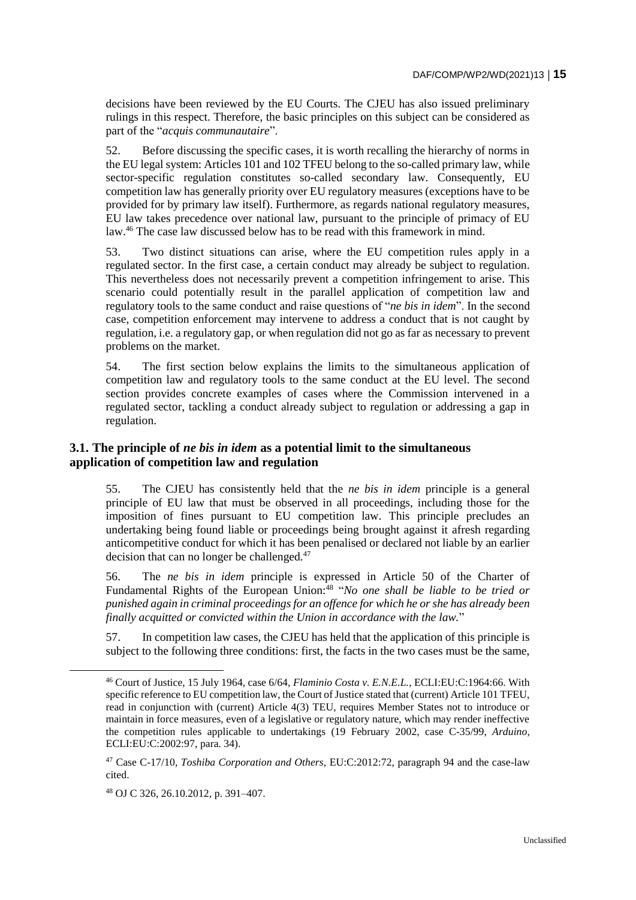decisions have been reviewed by the EU Courts. The CJEU has also issued preliminary rulings in this respect. Therefore, the basic principles on this subject can be considered as part of the "*acquis communautaire*".

52. Before discussing the specific cases, it is worth recalling the hierarchy of norms in the EU legal system: Articles 101 and 102 TFEU belong to the so-called primary law, while sector-specific regulation constitutes so-called secondary law. Consequently, EU competition law has generally priority over EU regulatory measures (exceptions have to be provided for by primary law itself). Furthermore, as regards national regulatory measures, EU law takes precedence over national law, pursuant to the principle of primacy of EU law.<sup>46</sup> The case law discussed below has to be read with this framework in mind.

53. Two distinct situations can arise, where the EU competition rules apply in a regulated sector. In the first case, a certain conduct may already be subject to regulation. This nevertheless does not necessarily prevent a competition infringement to arise. This scenario could potentially result in the parallel application of competition law and regulatory tools to the same conduct and raise questions of "*ne bis in idem*". In the second case, competition enforcement may intervene to address a conduct that is not caught by regulation, i.e. a regulatory gap, or when regulation did not go as far as necessary to prevent problems on the market.

54. The first section below explains the limits to the simultaneous application of competition law and regulatory tools to the same conduct at the EU level. The second section provides concrete examples of cases where the Commission intervened in a regulated sector, tackling a conduct already subject to regulation or addressing a gap in regulation.

## **3.1. The principle of** *ne bis in idem* **as a potential limit to the simultaneous application of competition law and regulation**

55. The CJEU has consistently held that the *ne bis in idem* principle is a general principle of EU law that must be observed in all proceedings, including those for the imposition of fines pursuant to EU competition law. This principle precludes an undertaking being found liable or proceedings being brought against it afresh regarding anticompetitive conduct for which it has been penalised or declared not liable by an earlier decision that can no longer be challenged.<sup>47</sup>

56. The *ne bis in idem* principle is expressed in Article 50 of the Charter of Fundamental Rights of the European Union:<sup>48</sup> "*No one shall be liable to be tried or punished again in criminal proceedings for an offence for which he or she has already been finally acquitted or convicted within the Union in accordance with the law.*"

57. In competition law cases, the CJEU has held that the application of this principle is subject to the following three conditions: first, the facts in the two cases must be the same,

<sup>46</sup> Court of Justice, 15 July 1964, case 6/64, *Flaminio Costa v. E.N.E.L.*, ECLI:EU:C:1964:66. With specific reference to EU competition law, the Court of Justice stated that (current) Article 101 TFEU, read in conjunction with (current) Article 4(3) TEU, requires Member States not to introduce or maintain in force measures, even of a legislative or regulatory nature, which may render ineffective the competition rules applicable to undertakings (19 February 2002, case C-35/99, *Arduino*, ECLI:EU:C:2002:97, para. 34).

<sup>47</sup> Case C-17/10, *Toshiba Corporation and Others*, EU:C:2012:72, paragraph 94 and the case-law cited.

<sup>48</sup> OJ C 326, 26.10.2012, p. 391–407.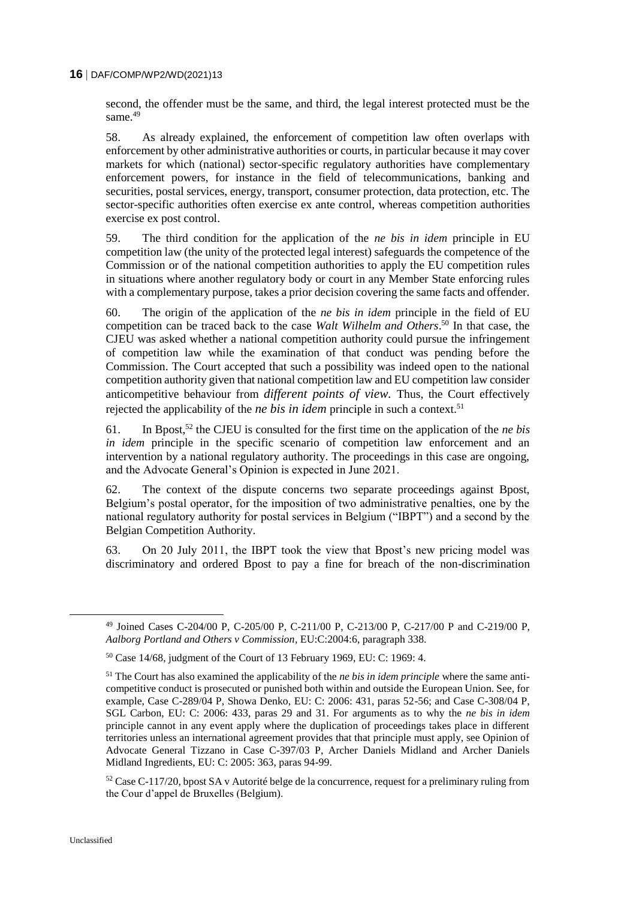second, the offender must be the same, and third, the legal interest protected must be the same.<sup>49</sup>

58. As already explained, the enforcement of competition law often overlaps with enforcement by other administrative authorities or courts, in particular because it may cover markets for which (national) sector-specific regulatory authorities have complementary enforcement powers, for instance in the field of telecommunications, banking and securities, postal services, energy, transport, consumer protection, data protection, etc. The sector-specific authorities often exercise ex ante control, whereas competition authorities exercise ex post control.

59. The third condition for the application of the *ne bis in idem* principle in EU competition law (the unity of the protected legal interest) safeguards the competence of the Commission or of the national competition authorities to apply the EU competition rules in situations where another regulatory body or court in any Member State enforcing rules with a complementary purpose, takes a prior decision covering the same facts and offender.

60. The origin of the application of the *ne bis in idem* principle in the field of EU competition can be traced back to the case *Walt Wilhelm and Others*. <sup>50</sup> In that case, the CJEU was asked whether a national competition authority could pursue the infringement of competition law while the examination of that conduct was pending before the Commission. The Court accepted that such a possibility was indeed open to the national competition authority given that national competition law and EU competition law consider anticompetitive behaviour from *different points of view.* Thus, the Court effectively rejected the applicability of the *ne bis in idem* principle in such a context.<sup>51</sup>

61. In Bpost,<sup>52</sup> the CJEU is consulted for the first time on the application of the *ne bis in idem* principle in the specific scenario of competition law enforcement and an intervention by a national regulatory authority. The proceedings in this case are ongoing, and the Advocate General's Opinion is expected in June 2021.

62. The context of the dispute concerns two separate proceedings against Bpost, Belgium's postal operator, for the imposition of two administrative penalties, one by the national regulatory authority for postal services in Belgium ("IBPT") and a second by the Belgian Competition Authority.

63. On 20 July 2011, the IBPT took the view that Bpost's new pricing model was discriminatory and ordered Bpost to pay a fine for breach of the non-discrimination

<sup>49</sup> Joined Cases C-204/00 P, C-205/00 P, C-211/00 P, C-213/00 P, C-217/00 P and C-219/00 P, *Aalborg Portland and Others v Commission*, EU:C:2004:6, paragraph 338.

<sup>50</sup> Case 14/68, judgment of the Court of 13 February 1969, EU: C: 1969: 4.

<sup>51</sup> The Court has also examined the applicability of the *ne bis in idem principle* where the same anticompetitive conduct is prosecuted or punished both within and outside the European Union. See, for example, Case C-289/04 P, Showa Denko, EU: C: 2006: 431, paras 52-56; and Case C-308/04 P, SGL Carbon, EU: C: 2006: 433, paras 29 and 31. For arguments as to why the *ne bis in idem* principle cannot in any event apply where the duplication of proceedings takes place in different territories unless an international agreement provides that that principle must apply, see Opinion of Advocate General Tizzano in Case C-397/03 P, Archer Daniels Midland and Archer Daniels Midland Ingredients, EU: C: 2005: 363, paras 94-99.

 $52$  Case C-117/20, bpost SA v Autorité belge de la concurrence, request for a preliminary ruling from the Cour d'appel de Bruxelles (Belgium).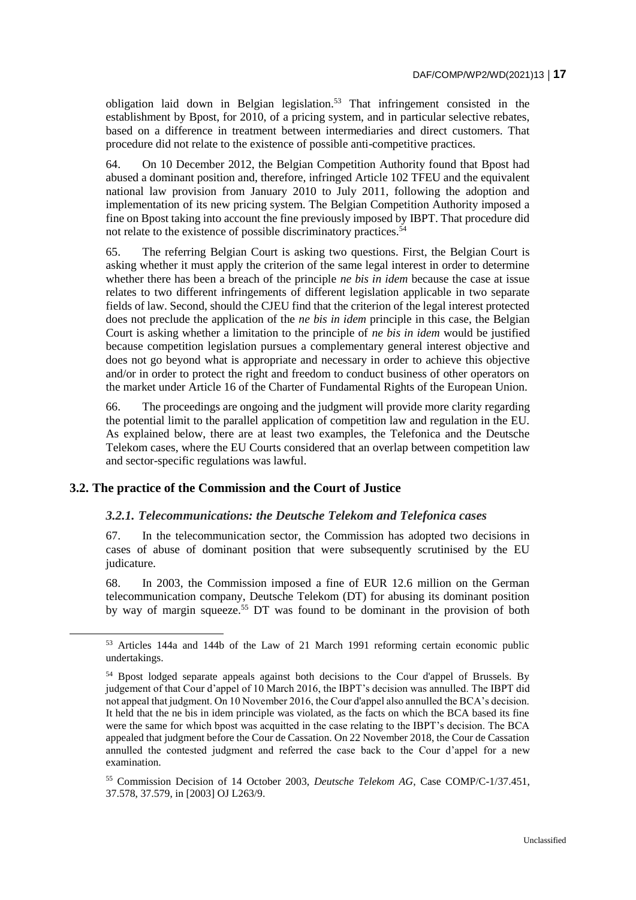obligation laid down in Belgian legislation.<sup>53</sup> That infringement consisted in the establishment by Bpost, for 2010, of a pricing system, and in particular selective rebates, based on a difference in treatment between intermediaries and direct customers. That procedure did not relate to the existence of possible anti-competitive practices.

64. On 10 December 2012, the Belgian Competition Authority found that Bpost had abused a dominant position and, therefore, infringed Article 102 TFEU and the equivalent national law provision from January 2010 to July 2011, following the adoption and implementation of its new pricing system. The Belgian Competition Authority imposed a fine on Bpost taking into account the fine previously imposed by IBPT. That procedure did not relate to the existence of possible discriminatory practices.<sup>54</sup>

65. The referring Belgian Court is asking two questions. First, the Belgian Court is asking whether it must apply the criterion of the same legal interest in order to determine whether there has been a breach of the principle *ne bis in idem* because the case at issue relates to two different infringements of different legislation applicable in two separate fields of law. Second, should the CJEU find that the criterion of the legal interest protected does not preclude the application of the *ne bis in idem* principle in this case, the Belgian Court is asking whether a limitation to the principle of *ne bis in idem* would be justified because competition legislation pursues a complementary general interest objective and does not go beyond what is appropriate and necessary in order to achieve this objective and/or in order to protect the right and freedom to conduct business of other operators on the market under Article 16 of the Charter of Fundamental Rights of the European Union.

66. The proceedings are ongoing and the judgment will provide more clarity regarding the potential limit to the parallel application of competition law and regulation in the EU. As explained below, there are at least two examples, the Telefonica and the Deutsche Telekom cases, where the EU Courts considered that an overlap between competition law and sector-specific regulations was lawful.

#### **3.2. The practice of the Commission and the Court of Justice**

 $\overline{a}$ 

#### *3.2.1. Telecommunications: the Deutsche Telekom and Telefonica cases*

67. In the telecommunication sector, the Commission has adopted two decisions in cases of abuse of dominant position that were subsequently scrutinised by the EU judicature.

68. In 2003, the Commission imposed a fine of EUR 12.6 million on the German telecommunication company, Deutsche Telekom (DT) for abusing its dominant position by way of margin squeeze.<sup>55</sup> DT was found to be dominant in the provision of both

<sup>53</sup> Articles 144a and 144b of the Law of 21 March 1991 reforming certain economic public undertakings.

<sup>54</sup> Bpost lodged separate appeals against both decisions to the Cour d'appel of Brussels. By judgement of that Cour d'appel of 10 March 2016, the IBPT's decision was annulled. The IBPT did not appeal that judgment. On 10 November 2016, the Cour d'appel also annulled the BCA's decision. It held that the ne bis in idem principle was violated, as the facts on which the BCA based its fine were the same for which bpost was acquitted in the case relating to the IBPT's decision. The BCA appealed that judgment before the Cour de Cassation. On 22 November 2018, the Cour de Cassation annulled the contested judgment and referred the case back to the Cour d'appel for a new examination.

<sup>55</sup> Commission Decision of 14 October 2003, *Deutsche Telekom AG*, Case COMP/C-1/37.451, 37.578, 37.579, in [2003] OJ L263/9.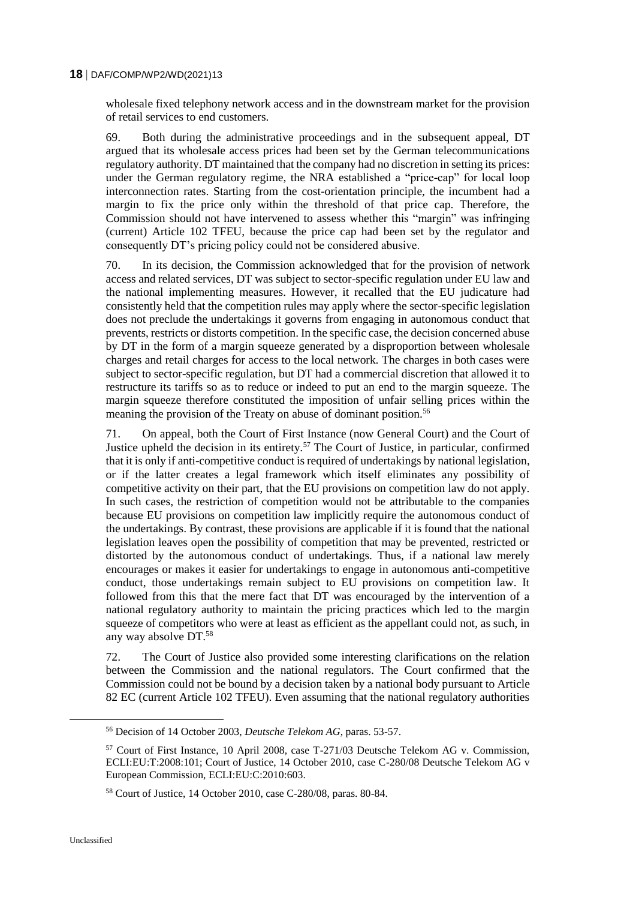wholesale fixed telephony network access and in the downstream market for the provision of retail services to end customers.

69. Both during the administrative proceedings and in the subsequent appeal, DT argued that its wholesale access prices had been set by the German telecommunications regulatory authority. DT maintained that the company had no discretion in setting its prices: under the German regulatory regime, the NRA established a "price-cap" for local loop interconnection rates. Starting from the cost-orientation principle, the incumbent had a margin to fix the price only within the threshold of that price cap. Therefore, the Commission should not have intervened to assess whether this "margin" was infringing (current) Article 102 TFEU, because the price cap had been set by the regulator and consequently DT's pricing policy could not be considered abusive.

70. In its decision, the Commission acknowledged that for the provision of network access and related services, DT was subject to sector-specific regulation under EU law and the national implementing measures. However, it recalled that the EU judicature had consistently held that the competition rules may apply where the sector-specific legislation does not preclude the undertakings it governs from engaging in autonomous conduct that prevents, restricts or distorts competition. In the specific case, the decision concerned abuse by DT in the form of a margin squeeze generated by a disproportion between wholesale charges and retail charges for access to the local network. The charges in both cases were subject to sector-specific regulation, but DT had a commercial discretion that allowed it to restructure its tariffs so as to reduce or indeed to put an end to the margin squeeze. The margin squeeze therefore constituted the imposition of unfair selling prices within the meaning the provision of the Treaty on abuse of dominant position.<sup>56</sup>

71. On appeal, both the Court of First Instance (now General Court) and the Court of Justice upheld the decision in its entirety.<sup>57</sup> The Court of Justice, in particular, confirmed that it is only if anti-competitive conduct is required of undertakings by national legislation, or if the latter creates a legal framework which itself eliminates any possibility of competitive activity on their part, that the EU provisions on competition law do not apply. In such cases, the restriction of competition would not be attributable to the companies because EU provisions on competition law implicitly require the autonomous conduct of the undertakings. By contrast, these provisions are applicable if it is found that the national legislation leaves open the possibility of competition that may be prevented, restricted or distorted by the autonomous conduct of undertakings. Thus, if a national law merely encourages or makes it easier for undertakings to engage in autonomous anti-competitive conduct, those undertakings remain subject to EU provisions on competition law. It followed from this that the mere fact that DT was encouraged by the intervention of a national regulatory authority to maintain the pricing practices which led to the margin squeeze of competitors who were at least as efficient as the appellant could not, as such, in any way absolve DT.<sup>58</sup>

72. The Court of Justice also provided some interesting clarifications on the relation between the Commission and the national regulators. The Court confirmed that the Commission could not be bound by a decision taken by a national body pursuant to Article 82 EC (current Article 102 TFEU). Even assuming that the national regulatory authorities

<sup>56</sup> Decision of 14 October 2003, *Deutsche Telekom AG*, paras. 53-57.

<sup>57</sup> Court of First Instance, 10 April 2008, case T-271/03 Deutsche Telekom AG v. Commission, ECLI:EU:T:2008:101; Court of Justice, 14 October 2010, case C-280/08 Deutsche Telekom AG v European Commission, ECLI:EU:C:2010:603.

<sup>58</sup> Court of Justice, 14 October 2010, case C-280/08, paras. 80-84.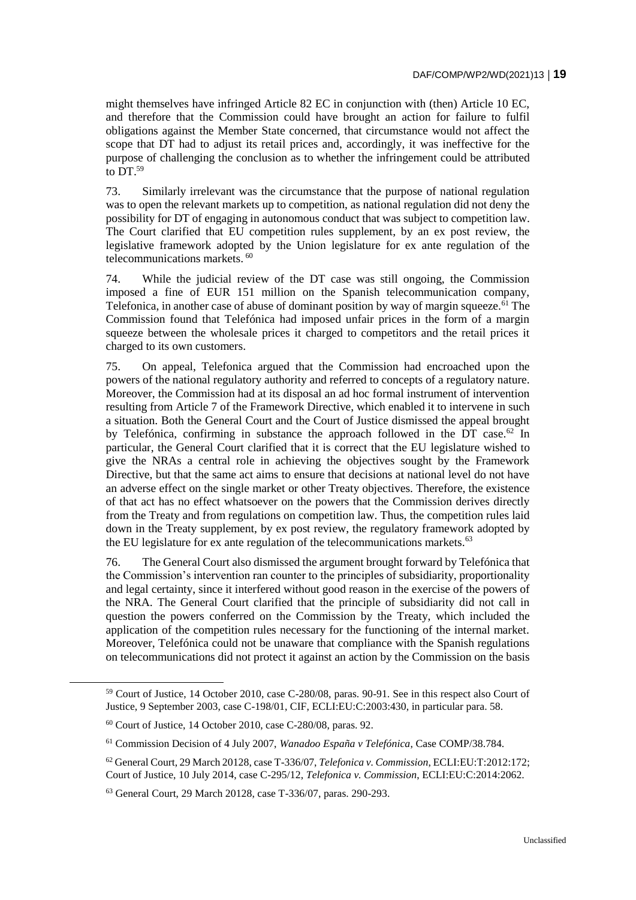might themselves have infringed Article 82 EC in conjunction with (then) Article 10 EC, and therefore that the Commission could have brought an action for failure to fulfil obligations against the Member State concerned, that circumstance would not affect the scope that DT had to adjust its retail prices and, accordingly, it was ineffective for the purpose of challenging the conclusion as to whether the infringement could be attributed to  $DT<sup>59</sup>$ 

73. Similarly irrelevant was the circumstance that the purpose of national regulation was to open the relevant markets up to competition, as national regulation did not deny the possibility for DT of engaging in autonomous conduct that was subject to competition law. The Court clarified that EU competition rules supplement, by an ex post review, the legislative framework adopted by the Union legislature for ex ante regulation of the telecommunications markets. <sup>60</sup>

74. While the judicial review of the DT case was still ongoing, the Commission imposed a fine of EUR 151 million on the Spanish telecommunication company, Telefonica, in another case of abuse of dominant position by way of margin squeeze.  $61$  The Commission found that Telefónica had imposed unfair prices in the form of a margin squeeze between the wholesale prices it charged to competitors and the retail prices it charged to its own customers.

75. On appeal, Telefonica argued that the Commission had encroached upon the powers of the national regulatory authority and referred to concepts of a regulatory nature. Moreover, the Commission had at its disposal an ad hoc formal instrument of intervention resulting from Article 7 of the Framework Directive, which enabled it to intervene in such a situation. Both the General Court and the Court of Justice dismissed the appeal brought by Telefónica, confirming in substance the approach followed in the  $\overline{DT}$  case.<sup>62</sup> In particular, the General Court clarified that it is correct that the EU legislature wished to give the NRAs a central role in achieving the objectives sought by the Framework Directive, but that the same act aims to ensure that decisions at national level do not have an adverse effect on the single market or other Treaty objectives. Therefore, the existence of that act has no effect whatsoever on the powers that the Commission derives directly from the Treaty and from regulations on competition law. Thus, the competition rules laid down in the Treaty supplement, by ex post review, the regulatory framework adopted by the EU legislature for ex ante regulation of the telecommunications markets.<sup>63</sup>

76. The General Court also dismissed the argument brought forward by Telefónica that the Commission's intervention ran counter to the principles of subsidiarity, proportionality and legal certainty, since it interfered without good reason in the exercise of the powers of the NRA. The General Court clarified that the principle of subsidiarity did not call in question the powers conferred on the Commission by the Treaty, which included the application of the competition rules necessary for the functioning of the internal market. Moreover, Telefónica could not be unaware that compliance with the Spanish regulations on telecommunications did not protect it against an action by the Commission on the basis

<sup>59</sup> Court of Justice, 14 October 2010, case C-280/08, paras. 90-91. See in this respect also Court of Justice, 9 September 2003, case C-198/01, CIF, ECLI:EU:C:2003:430, in particular para. 58.

 $60$  Court of Justice, 14 October 2010, case C-280/08, paras. 92.

<sup>61</sup> Commission Decision of 4 July 2007, *Wanadoo España v Telefónica*, Case COMP/38.784.

<sup>62</sup> General Court, 29 March 20128, case T-336/07, *Telefonica v. Commission*, ECLI:EU:T:2012:172; Court of Justice, 10 July 2014, case C-295/12, *Telefonica v. Commission*, ECLI:EU:C:2014:2062.

<sup>63</sup> General Court, 29 March 20128, case T-336/07, paras. 290-293.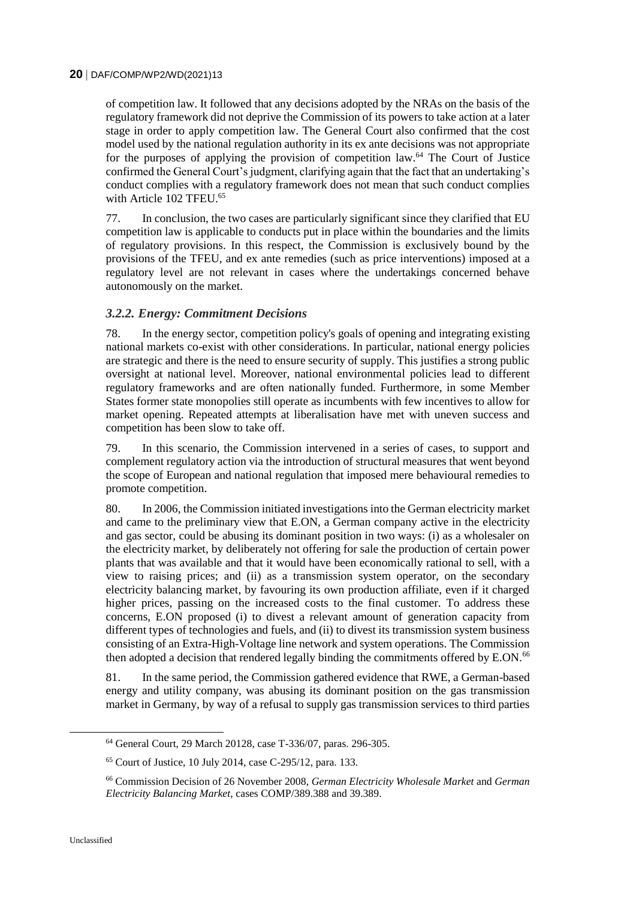of competition law. It followed that any decisions adopted by the NRAs on the basis of the regulatory framework did not deprive the Commission of its powers to take action at a later stage in order to apply competition law. The General Court also confirmed that the cost model used by the national regulation authority in its ex ante decisions was not appropriate for the purposes of applying the provision of competition law.<sup>64</sup> The Court of Justice confirmed the General Court's judgment, clarifying again that the fact that an undertaking's conduct complies with a regulatory framework does not mean that such conduct complies with Article 102 TFEU.<sup>65</sup>

77. In conclusion, the two cases are particularly significant since they clarified that EU competition law is applicable to conducts put in place within the boundaries and the limits of regulatory provisions. In this respect, the Commission is exclusively bound by the provisions of the TFEU, and ex ante remedies (such as price interventions) imposed at a regulatory level are not relevant in cases where the undertakings concerned behave autonomously on the market.

## *3.2.2. Energy: Commitment Decisions*

78. In the energy sector, competition policy's goals of opening and integrating existing national markets co-exist with other considerations. In particular, national energy policies are strategic and there is the need to ensure security of supply. This justifies a strong public oversight at national level. Moreover, national environmental policies lead to different regulatory frameworks and are often nationally funded. Furthermore, in some Member States former state monopolies still operate as incumbents with few incentives to allow for market opening. Repeated attempts at liberalisation have met with uneven success and competition has been slow to take off.

79. In this scenario, the Commission intervened in a series of cases, to support and complement regulatory action via the introduction of structural measures that went beyond the scope of European and national regulation that imposed mere behavioural remedies to promote competition.

80. In 2006, the Commission initiated investigations into the German electricity market and came to the preliminary view that E.ON, a German company active in the electricity and gas sector, could be abusing its dominant position in two ways: (i) as a wholesaler on the electricity market, by deliberately not offering for sale the production of certain power plants that was available and that it would have been economically rational to sell, with a view to raising prices; and (ii) as a transmission system operator, on the secondary electricity balancing market, by favouring its own production affiliate, even if it charged higher prices, passing on the increased costs to the final customer. To address these concerns, E.ON proposed (i) to divest a relevant amount of generation capacity from different types of technologies and fuels, and (ii) to divest its transmission system business consisting of an Extra-High-Voltage line network and system operations. The Commission then adopted a decision that rendered legally binding the commitments offered by E.ON.<sup>66</sup>

81. In the same period, the Commission gathered evidence that RWE, a German-based energy and utility company, was abusing its dominant position on the gas transmission market in Germany, by way of a refusal to supply gas transmission services to third parties

<sup>64</sup> General Court, 29 March 20128, case T-336/07, paras. 296-305.

<sup>65</sup> Court of Justice, 10 July 2014, case C-295/12, para. 133.

<sup>66</sup> Commission Decision of 26 November 2008, *German Electricity Wholesale Market* and *German Electricity Balancing Market*, cases COMP/389.388 and 39.389.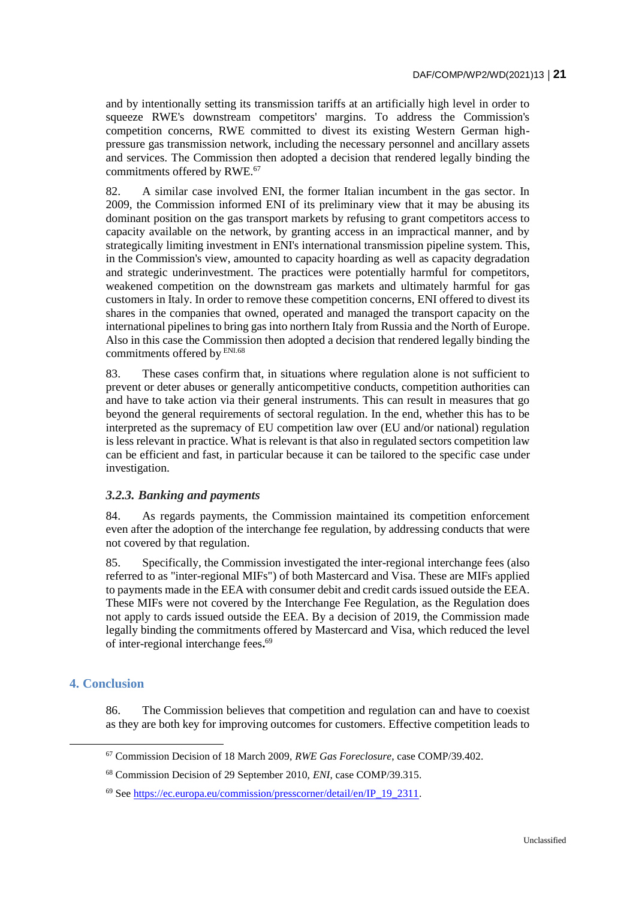and by intentionally setting its transmission tariffs at an artificially high level in order to squeeze RWE's downstream competitors' margins. To address the Commission's competition concerns, RWE committed to divest its existing Western German highpressure gas transmission network, including the necessary personnel and ancillary assets and services. The Commission then adopted a decision that rendered legally binding the commitments offered by RWE.<sup>67</sup>

82. A similar case involved ENI, the former Italian incumbent in the gas sector. In 2009, the Commission informed ENI of its preliminary view that it may be abusing its dominant position on the gas transport markets by refusing to grant competitors access to capacity available on the network, by granting access in an impractical manner, and by strategically limiting investment in ENI's international transmission pipeline system. This, in the Commission's view, amounted to capacity hoarding as well as capacity degradation and strategic underinvestment. The practices were potentially harmful for competitors, weakened competition on the downstream gas markets and ultimately harmful for gas customers in Italy. In order to remove these competition concerns, ENI offered to divest its shares in the companies that owned, operated and managed the transport capacity on the international pipelines to bring gas into northern Italy from Russia and the North of Europe. Also in this case the Commission then adopted a decision that rendered legally binding the commitments offered by ENI.68

83. These cases confirm that, in situations where regulation alone is not sufficient to prevent or deter abuses or generally anticompetitive conducts, competition authorities can and have to take action via their general instruments. This can result in measures that go beyond the general requirements of sectoral regulation. In the end, whether this has to be interpreted as the supremacy of EU competition law over (EU and/or national) regulation is less relevant in practice. What is relevant is that also in regulated sectors competition law can be efficient and fast, in particular because it can be tailored to the specific case under investigation.

## *3.2.3. Banking and payments*

84. As regards payments, the Commission maintained its competition enforcement even after the adoption of the interchange fee regulation, by addressing conducts that were not covered by that regulation.

85. Specifically, the Commission investigated the inter-regional interchange fees (also referred to as "inter-regional MIFs") of both Mastercard and Visa. These are MIFs applied to payments made in the EEA with consumer debit and credit cards issued outside the EEA. These MIFs were not covered by the Interchange Fee Regulation, as the Regulation does not apply to cards issued outside the EEA. By a decision of 2019, the Commission made legally binding the commitments offered by Mastercard and Visa, which reduced the level of inter-regional interchange fees**.** 69

## **4. Conclusion**

 $\overline{a}$ 

86. The Commission believes that competition and regulation can and have to coexist as they are both key for improving outcomes for customers. Effective competition leads to

<sup>67</sup> Commission Decision of 18 March 2009, *RWE Gas Foreclosure*, case COMP/39.402.

<sup>68</sup> Commission Decision of 29 September 2010, *ENI*, case COMP/39.315.

<sup>69</sup> See [https://ec.europa.eu/commission/presscorner/detail/en/IP\\_19\\_2311.](https://ec.europa.eu/commission/presscorner/detail/en/IP_19_2311)